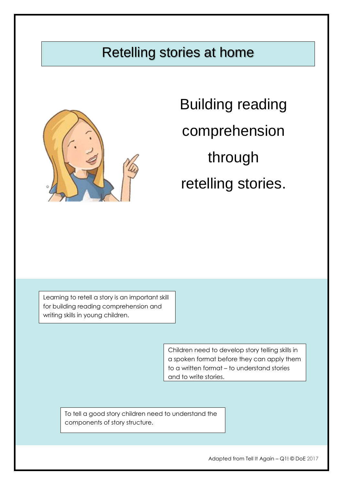# Retelling stories at home



Building reading comprehension through retelling stories.

Learning to retell a story is an important skill for building reading comprehension and writing skills in young children.

> Children need to develop story telling skills in a spoken format before they can apply them to a written format – to understand stories and to write stories.

To tell a good story children need to understand the components of story structure.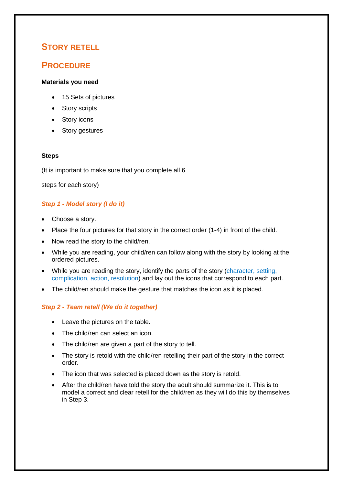### **STORY RETELL**

### **PROCEDURE**

#### **Materials you need**

- 15 Sets of pictures
- Story scripts
- Story icons
- Story gestures

#### **Steps**

(It is important to make sure that you complete all 6

steps for each story)

### *Step 1 - Model story (I do it)*

- Choose a story.
- Place the four pictures for that story in the correct order (1-4) in front of the child.
- Now read the story to the child/ren.
- While you are reading, your child/ren can follow along with the story by looking at the ordered pictures.
- While you are reading the story, identify the parts of the story (character, setting, complication, action, resolution) and lay out the icons that correspond to each part.
- The child/ren should make the gesture that matches the icon as it is placed.

### *Step 2 - Team retell (We do it together)*

- Leave the pictures on the table.
- The child/ren can select an icon.
- The child/ren are given a part of the story to tell.
- The story is retold with the child/ren retelling their part of the story in the correct order.
- The icon that was selected is placed down as the story is retold.
- After the child/ren have told the story the adult should summarize it. This is to model a correct and clear retell for the child/ren as they will do this by themselves in Step 3.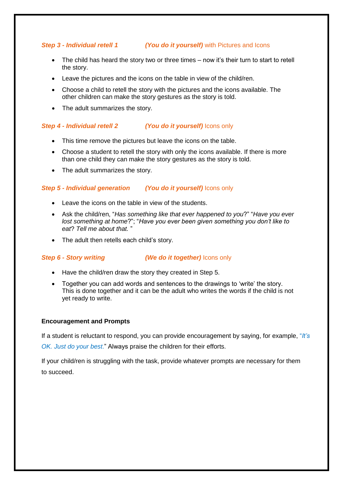### *Step 3 - Individual retell 1 (You do it yourself)* with Pictures and Icons

- The child has heard the story two or three times now it's their turn to start to retell the story.
- Leave the pictures and the icons on the table in view of the child/ren.
- Choose a child to retell the story with the pictures and the icons available. The other children can make the story gestures as the story is told.
- The adult summarizes the story.

#### *Step 4 - Individual retell 2 (You do it yourself)* Icons only

- This time remove the pictures but leave the icons on the table.
- Choose a student to retell the story with only the icons available. If there is more than one child they can make the story gestures as the story is told.
- The adult summarizes the story.

#### *Step 5 - Individual generation (You do it yourself)* Icons only

- Leave the icons on the table in view of the students.
- Ask the child/ren, "*Has something like that ever happened to you*?" "*Have you ever lost something at home*?"; "*Have you ever been given something you don't like to eat*? *Tell me about that.* "
- The adult then retells each child's story.

#### *Step 6 - Story writing (We do it together)* Icons only

- Have the child/ren draw the story they created in Step 5.
- Together you can add words and sentences to the drawings to 'write' the story. This is done together and it can be the adult who writes the words if the child is not yet ready to write.

#### **Encouragement and Prompts**

If a student is reluctant to respond, you can provide encouragement by saying, for example, "*It's* 

*OK. Just do your best*." Always praise the children for their efforts.

If your child/ren is struggling with the task, provide whatever prompts are necessary for them to succeed.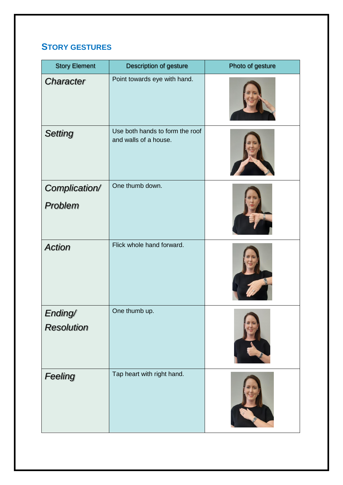### **STORY GESTURES**

| <b>Story Element</b>         | Description of gesture                                   | Photo of gesture |
|------------------------------|----------------------------------------------------------|------------------|
| Character                    | Point towards eye with hand.                             |                  |
| <b>Setting</b>               | Use both hands to form the roof<br>and walls of a house. |                  |
| Complication/<br>Problem     | One thumb down.                                          |                  |
| <b>Action</b>                | Flick whole hand forward.                                |                  |
| Ending/<br><b>Resolution</b> | One thumb up.                                            |                  |
| Feeling                      | Tap heart with right hand.                               |                  |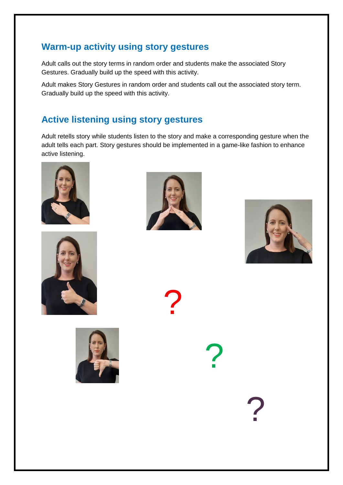### **Warm-up activity using story gestures**

Adult calls out the story terms in random order and students make the associated Story Gestures. Gradually build up the speed with this activity.

Adult makes Story Gestures in random order and students call out the associated story term. Gradually build up the speed with this activity.

### **Active listening using story gestures**

Adult retells story while students listen to the story and make a corresponding gesture when the adult tells each part. Story gestures should be implemented in a game-like fashion to enhance active listening.









?

?

?